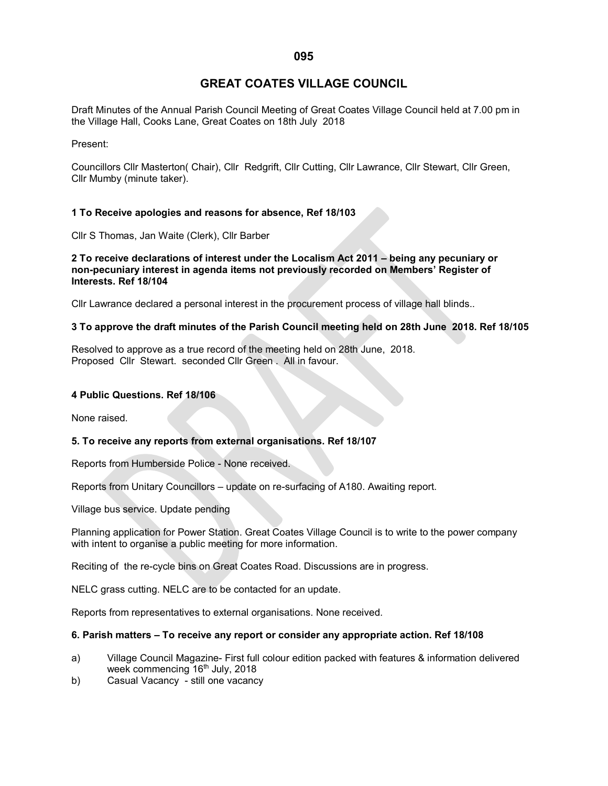# **GREAT COATES VILLAGE COUNCIL**

Draft Minutes of the Annual Parish Council Meeting of Great Coates Village Council held at 7.00 pm in the Village Hall, Cooks Lane, Great Coates on 18th July 2018

Present:

Councillors Cllr Masterton( Chair), Cllr Redgrift, Cllr Cutting, Cllr Lawrance, Cllr Stewart, Cllr Green, Cllr Mumby (minute taker).

# **1 To Receive apologies and reasons for absence, Ref 18/103**

Cllr S Thomas, Jan Waite (Clerk), Cllr Barber

#### **2 To receive declarations of interest under the Localism Act 2011 – being any pecuniary or non-pecuniary interest in agenda items not previously recorded on Members' Register of Interests. Ref 18/104**

Cllr Lawrance declared a personal interest in the procurement process of village hall blinds..

### **3 To approve the draft minutes of the Parish Council meeting held on 28th June 2018. Ref 18/105**

Resolved to approve as a true record of the meeting held on 28th June, 2018. Proposed Cllr Stewart. seconded Cllr Green . All in favour.

#### **4 Public Questions. Ref 18/106**

None raised.

### **5. To receive any reports from external organisations. Ref 18/107**

Reports from Humberside Police - None received.

Reports from Unitary Councillors – update on re-surfacing of A180. Awaiting report.

Village bus service. Update pending

Planning application for Power Station. Great Coates Village Council is to write to the power company with intent to organise a public meeting for more information.

Reciting of the re-cycle bins on Great Coates Road. Discussions are in progress.

NELC grass cutting. NELC are to be contacted for an update.

Reports from representatives to external organisations. None received.

### **6. Parish matters – To receive any report or consider any appropriate action. Ref 18/108**

- a) Village Council Magazine- First full colour edition packed with features & information delivered week commencing 16<sup>th</sup> July, 2018
- b) Casual Vacancy still one vacancy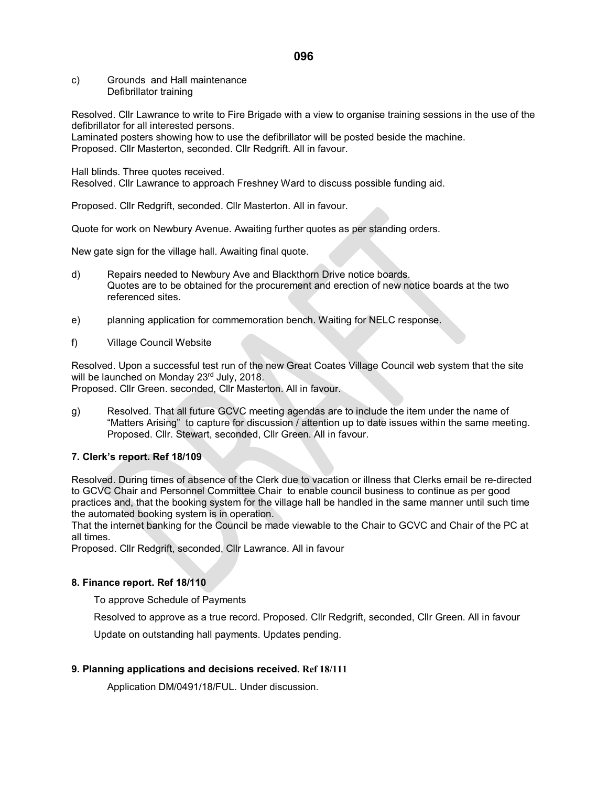c) Grounds and Hall maintenance Defibrillator training

Resolved. Cllr Lawrance to write to Fire Brigade with a view to organise training sessions in the use of the defibrillator for all interested persons.

Laminated posters showing how to use the defibrillator will be posted beside the machine. Proposed. Cllr Masterton, seconded. Cllr Redgrift. All in favour.

Hall blinds. Three quotes received.

Resolved. Cllr Lawrance to approach Freshney Ward to discuss possible funding aid.

Proposed. Cllr Redgrift, seconded. Cllr Masterton. All in favour.

Quote for work on Newbury Avenue. Awaiting further quotes as per standing orders.

New gate sign for the village hall. Awaiting final quote.

- d) Repairs needed to Newbury Ave and Blackthorn Drive notice boards. Quotes are to be obtained for the procurement and erection of new notice boards at the two referenced sites.
- e) planning application for commemoration bench. Waiting for NELC response.
- f) Village Council Website

Resolved. Upon a successful test run of the new Great Coates Village Council web system that the site will be launched on Monday 23rd July, 2018.

Proposed. Cllr Green. seconded, Cllr Masterton. All in favour.

g) Resolved. That all future GCVC meeting agendas are to include the item under the name of "Matters Arising" to capture for discussion / attention up to date issues within the same meeting. Proposed. Cllr. Stewart, seconded, Cllr Green. All in favour.

### **7. Clerk's report. Ref 18/109**

Resolved. During times of absence of the Clerk due to vacation or illness that Clerks email be re-directed to GCVC Chair and Personnel Committee Chair to enable council business to continue as per good practices and, that the booking system for the village hall be handled in the same manner until such time the automated booking system is in operation.

That the internet banking for the Council be made viewable to the Chair to GCVC and Chair of the PC at all times.

Proposed. Cllr Redgrift, seconded, Cllr Lawrance. All in favour

### **8. Finance report. Ref 18/110**

To approve Schedule of Payments

Resolved to approve as a true record. Proposed. Cllr Redgrift, seconded, Cllr Green. All in favour

Update on outstanding hall payments. Updates pending.

### **9. Planning applications and decisions received. Ref 18/111**

Application DM/0491/18/FUL. Under discussion.